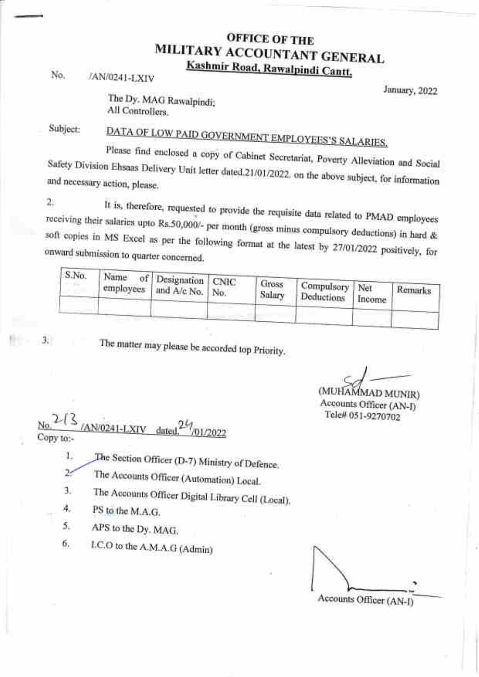## OFFICE OF THE<br>MILITARY ACCOUNTANT GENERAL<br>Kashmir Road, Rawalpindi Cantt.

No. /AN/0241-LXIV

January, 2022

The Dy. MAG Rawalpindi; All Controliers.

Subject:

DATA OF LOW PAID GOVERNMENT EMPLOYEES'S SALARIES.<br>Please find enclosed a copy of Cabinet Secretariat, Poverty Alleviation and Social Safety Division Ehsaas Delivery and necessary action, please. sed a copy of Cabinet Secretariat, Poverty Alleviation and Social Unit letter dated.21/01/2022. on the above subject, for information

2. It is, therefore, requested to provide the requisite data related to PMAD employees<br>receiving their salaries upto Rs.50,000/- per month (gross minus compulsory deductions) in hard &<br>soft copies in MS Excel as per the fo

| S.No. | Name of Designation CNIC        |                 |                              |               |         |
|-------|---------------------------------|-----------------|------------------------------|---------------|---------|
|       | employees   and $A/c$ No.   No. | Gross<br>Salary | Compulsory Net<br>Deductions | <b>Income</b> | Remarks |
|       |                                 |                 |                              |               |         |

 $3<sub>1</sub>$ 

The matter may please be accorded top Priority.

(MUHAMMAD MUNIR)

 $\frac{2}{3}$  /AN/0241-LXIV dated.<sup>24</sup>/01/2022 AN/0241-LXIV dated<sup>24</sup> Copy to:-

The Section Officer (D-7) Ministry of Defence. 1.

Ż. The Accounts Officer (Automation) Local.

The Accounts Officer Digital Library Cell (Local). a J

PS to the M.A.G. 4.

APS to the Dy. MAG 5.

I.C.O to the A.M.A.G (Admin) 6.

Accounts Officer (AN-I)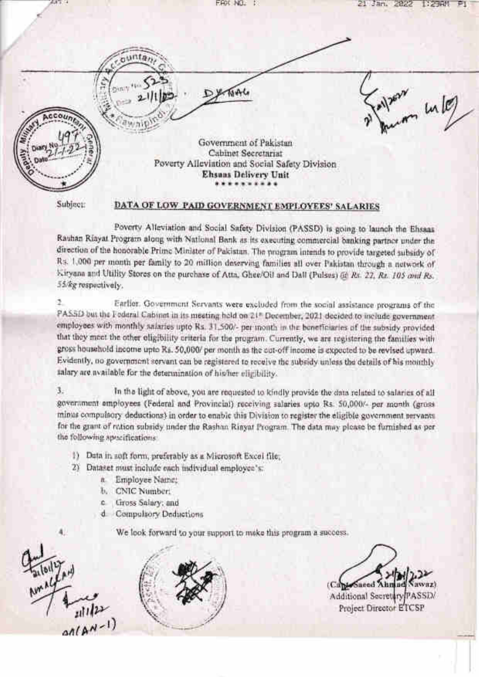| $4.4 - 4.4$ | EAX NO.                                                                | Jan.<br>2022<br>21             |
|-------------|------------------------------------------------------------------------|--------------------------------|
|             |                                                                        |                                |
|             |                                                                        |                                |
|             |                                                                        | $\frac{1}{2}$ in $\frac{1}{2}$ |
|             | Government of Pakistan<br>Cabinet Secretariat                          |                                |
|             | Poverty Alleviation and Social Safety Division<br>Ehsans Delivery Unit |                                |

Subject:

## DATA OF LOW PAID GOVERNMENT EMPLOYEES' SALARIES

Poverty Alleviation and Social Safety Division (PASSD) is going to launch the Ehsaas Rauhan Riayat Program along with National Bank as its executing commercial banking partner under the direction of the honorable Prime Minister of Pakistan. The program intends to provide targeted subsidy of Rs. 1,000 per month per family to 20 million deserving families all over Pakistan through a network of Kiryana and Utility Stores on the purchase of Atta, Ghee/Oil and Dall (Pulses) (if Rs. 22, Rs. 105 and Rs. 55/kg respectively.

ð. Earlier. Government Servants were excluded from the social assistance programs of the PASSD but the Federal Cabinet in its meeting held on 21<sup>8</sup> December, 2021 decided to include government employees with monthly salaries upto Rs. 31,500/- per month in the beneficiaries of the subsidy provided that they meet the other oligibility criteria for the program. Currently, we are registering the families with gross household income upto Rs. 50,000/ per month as the out-off income is expected to be revised upward. Evidently, no government servant can be registered to receive the subsidy unless the details of his monthly salary are available for the determination of his/her eligibility.

3. In the light of above, you are requested to kindly provide the data related to salaries of all government amployees (Federal and Provincial) receiving salaries upto Rs. 50,000/- per month (gross minus compulsory deductions) in order to enable this Division to register the eligible government servants. for the grant of ration subsidy under the Rashan Rinyat Program. The data may please be furnished as per the following specifications

- 1) Data in soft form, preferably as a Microsoft Excel file.
- 2) Dataset must include each individual employee's:
	- a. Employee Name:
	- b. CNIC Number.
	- c Gross Salary; and
	- d Compulsory Deductions
		- We look forward to your support to make this program a success.

 $allAM-1)$ 



need A

Additional Secretary PASSD/ Project Director ETCSP